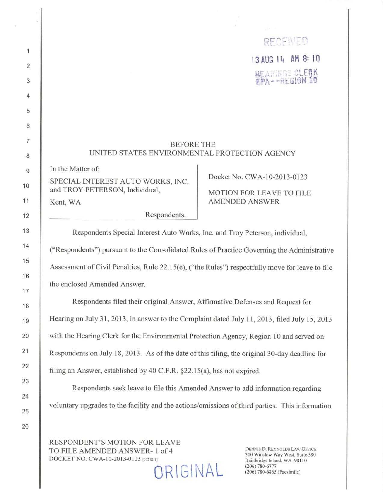**13 AUG 1 + AM 3: 10** HEARINGS CLERK<br>EPA--REGION 10

RECEIVED

## BEFORE THE UNITED STATES ENVIRONMENTAL PROTECTION AGENCY

In the Matter of:

SPECIAL INTEREST AUTO WORKS, INC. and TROY PETERSON, Individual,

Kent, WA

Respondents.

Docket No. CWA-10-2013-0123

MOTION FOR LEAVE TO FILE AMENDED ANSWER

Respondents Special Interest Auto Works, Inc. and Troy Peterson, individual, ("Respondents") pursuant to the Consolidated Rules of Practice Governing the Administrative Assessment of Civil Penalties, Rule 22.15(e), ("the Rules") respectfully move for leave to file the enclosed Amended Answer.

Respondents filed their original Answer, Affirmative Defenses and Request for Hearing on July 31, 2013, in answer to the Complaint dated July 11, 2013, filed July 15, 2013 with the Hearing Clerk for the Environmental Protection Agency, Region 10 and served on Respondents on July 18, 2013. As of the date of this filing, the original 30-day deadline for filing an Answer, established by 40 C.F.R. §22.15(a), has not expired.

Respondents seek leave to file this Amended Answer to add information regarding voluntary upgrades to the facility and the actions/omissions of third parties. This information

RESPONDENT'S MOTION FOR LEAVE TO FILE AMENDED ANSWER- l of 4 DOCKET NO. CWA-10-2013-0123 [90218-1]

## ORIGINAL

DENNIS D. REYNOLDS LAW OFFICE 200 Winslow Way West, Suite 380 Bainbridge Island, WA 98110 (206) 780-6777 (206) 780-6865 (Facsimile)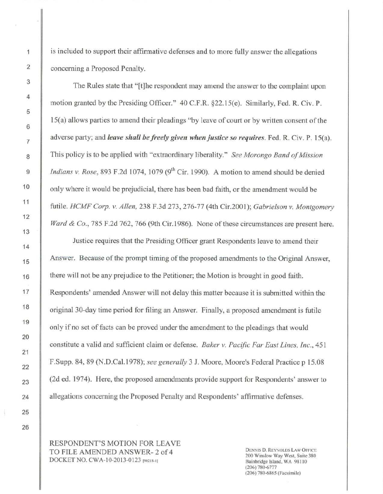is included to support their affirmative defenses and to more fully answer the allegations concerning a Proposed Penalty.

The Rules state that "[t]he respondent may amend the answer to the complaint upon motion granted by the Presiding Officer." 40 C.F.R. §22.15(e). Similarly, Fed. R. Civ. P. 15(a) allows parties to amend their pleadings "by leave of court or by written consent of the adverse party; and *leave shall be freely given when justice so requires.* Fed. R. Civ. P. 15(a). This policy is to be applied with "extraordinary liberality." *See Morongo Band of Mission Indians v. Rose,* 893 F.2d 1074, 1079 ( $9<sup>th</sup>$  Cir. 1990). A motion to amend should be denied only where it would be prejudicial, there has been bad faith, or the amendment would be futile. *HCMF Corp. v. Allen,* 238 F.3d 273, 276-77 (4th Cir.2001); *Gabrielson v. Montgomery Ward & Co.*, 785 F.2d 762, 766 (9th Cir.1986). None of these circumstances are present here.

Justice requires that the Presiding Officer grant Respondents leave to amend their Answer. Because of the prompt timing of the proposed amendments to the Original Answer, there will not be any prejudice to the Petitioner; the Motion is brought in good faith. Respondents' amended Answer will not delay this matter because it is submitted within the original 30-day time period for filing an Answer. Finally, a proposed amendment is futile only if no set of facts can be proved under the amendment to the pleadings that would constitute a valid and sufficient claim or defense. *Baker v. Pacific Far East Lines, Inc.,* 451 F.Supp. 84, 89 (N.D.Cal.1978); *see generally 3* J. Moore, Moore's Federal Practice p 15.08 (2d ed. 1974). Here, the proposed amendments provide support for Respondents' answer to allegations concerning the Proposed Penalty and Respondents' affirmative defenses.

RESPONDENT'S MOTION FOR LEAVE TO FILE AMENDED ANSWER- 2 of 4 DOCKET NO. CWA-10-2013-0123 [90218-i]

DENNIS D. REYNOLDS LAW OFFICE 200 Winslow Way West, Suite 380 Bainbridge Island, WA 98110 (206) 780-6777 (206) 780-6865 (Facsimile)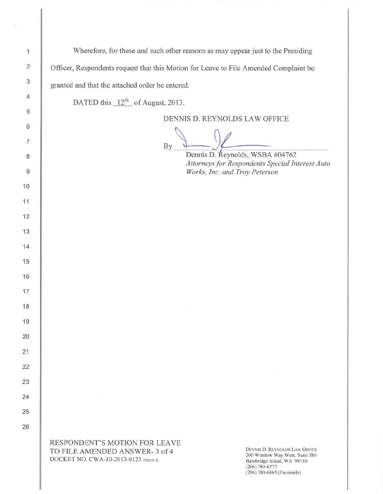Wherefore, for these and such other reasons as may appear just to the Presiding Officer, Respondents request that this Motion for Leave to File Amended Complaint be granted and that the attached order be entered.

DATED this  $12^{th}$  of August, 2013.

## DENNIS D. REYNOLDS LAW OFFICE

By '  $\frac{1}{2}$ 

Dennis D. Reynolds, WSBA #04762 *Attorneys for Respondents Special Interest Auto Works, Inc. and Troy Peterson*

RESPONDENT'S MOTION FOR LEAVE TO FILE AMENDED ANSWER- 3 of 4 DOCKET NO. CWA-10-2013-0123 1902Is-u

DENNIS D. REYNOLDS LAW OFFICE 200 Winslow Way West, Suite 380 Bainbridge Island, WA 981 10 (206) 780-6777 (206) 780-6865 (Facsimile)